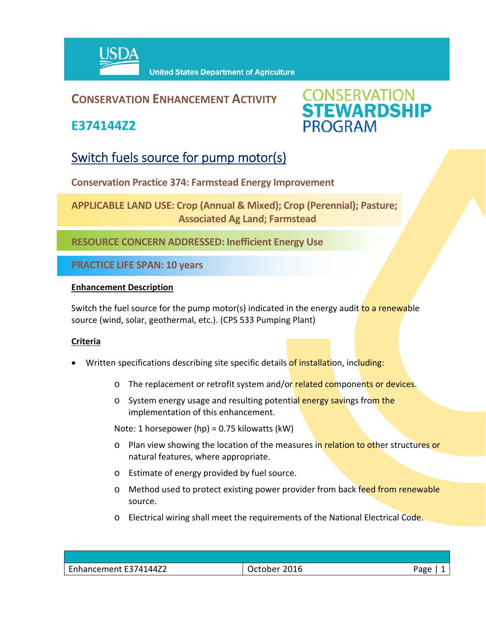

### **CONSERVATION ENHANCEMENT ACTIVITY**

**E374144Z2**



## Switch fuels source for pump motor(s)

**Conservation Practice 374: Farmstead Energy Improvement** 

**APPLICABLE LAND USE: Crop (Annual & Mixed); Crop (Perennial); Pasture; Associated Ag Land; Farmstead** 

**RESOURCE CONCERN ADDRESSED: Inefficient Energy Use**

**PRACTICE LIFE SPAN: 10 years**

#### **Enhancement Description**

Switch the fuel source for the pump motor(s) indicated in the energy audit to a renewable source (wind, solar, geothermal, etc.). (CPS 533 Pumping Plant)

#### **Criteria**

- Written specifications describing site specific details of installation, including:
	- o The replacement or retrofit system and/or related components or devices.
	- o System energy usage and resulting potential energy savings from the implementation of this enhancement.

Note: 1 horsepower (hp) = 0.75 kilowatts (kW)

- o Plan view showing the location of the measures in relation to other structures or natural features, where appropriate.
- o Estimate of energy provided by fuel source.
- o Method used to protect existing power provider from back feed from renewable source.
- o Electrical wiring shall meet the requirements of the National Electrical Code.

| Enhancement E374144Z2 | 2016<br>,,,,,,,<br>Octobe. | Aמר |
|-----------------------|----------------------------|-----|